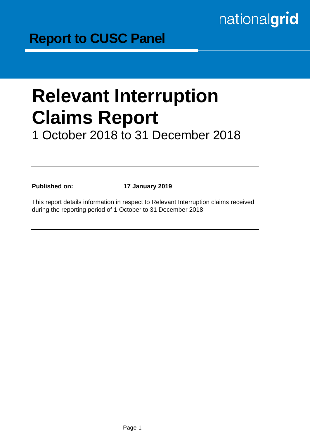# nationalgrid

# **Relevant Interruption Claims Report** 1 October 2018 to 31 December 2018

**Published on: 17 January 2019**

This report details information in respect to Relevant Interruption claims received during the reporting period of 1 October to 31 December 2018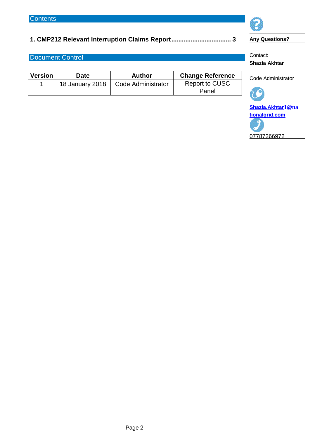### **1. CMP212 Relevant Interruption Claims Report.................................. 3**

#### Document Control

| <b>Version</b> | Date            | <b>Author</b>      | <b>Change Reference</b> |  |
|----------------|-----------------|--------------------|-------------------------|--|
|                | 18 January 2018 | Code Administrator | Report to CUSC          |  |
|                |                 |                    | Panel                   |  |





**Any Questions?**

Contact: **Shazia Akhtar**

#### Code Administrator



**Shazia.Akhtar[1@na](mailto:Christine.brown1@na) [tionalgrid.com](http://tionalgrid.com/)**

07787266972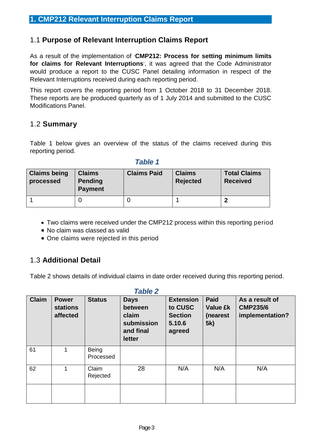### 1.1 **Purpose of Relevant Interruption Claims Report**

As a result of the implementation of '**CMP212: Process for setting minimum limits for claims for Relevant Interruptions**', it was agreed that the Code Administrator would produce a report to the CUSC Panel detailing information in respect of the Relevant Interruptions received during each reporting period.

This report covers the reporting period from 1 October 2018 to 31 December 2018. These reports are be produced quarterly as of 1 July 2014 and submitted to the CUSC Modifications Panel.

#### 1.2 **Summary**

Table 1 below gives an overview of the status of the claims received during this reporting period.

| <b>Claims being</b><br>processed | <b>Claims</b><br><b>Pending</b><br><b>Payment</b> | <b>Claims Paid</b> | <b>Claims</b><br><b>Rejected</b> | <b>Total Claims</b><br><b>Received</b> |
|----------------------------------|---------------------------------------------------|--------------------|----------------------------------|----------------------------------------|
|                                  |                                                   |                    |                                  |                                        |

#### *Table 1*

- Two claims were received under the CMP212 process within this reporting period
- No claim was classed as valid
- One claims were rejected in this period

### 1.3 **Additional Detail**

Table 2 shows details of individual claims in date order received during this reporting period.

| <b>Claim</b> | <b>Power</b><br><b>stations</b><br>affected | <b>Status</b>             | <b>Days</b><br>between<br>claim<br>submission<br>and final<br>letter | <b>Extension</b><br>to CUSC<br><b>Section</b><br>5.10.6<br>agreed | <b>Paid</b><br><b>Value £k</b><br>(nearest<br>5k) | As a result of<br><b>CMP235/6</b><br>implementation? |
|--------------|---------------------------------------------|---------------------------|----------------------------------------------------------------------|-------------------------------------------------------------------|---------------------------------------------------|------------------------------------------------------|
| 61           | $\mathbf{1}$                                | <b>Being</b><br>Processed |                                                                      |                                                                   |                                                   |                                                      |
| 62           | 1                                           | Claim<br>Rejected         | 28                                                                   | N/A                                                               | N/A                                               | N/A                                                  |
|              |                                             |                           |                                                                      |                                                                   |                                                   |                                                      |